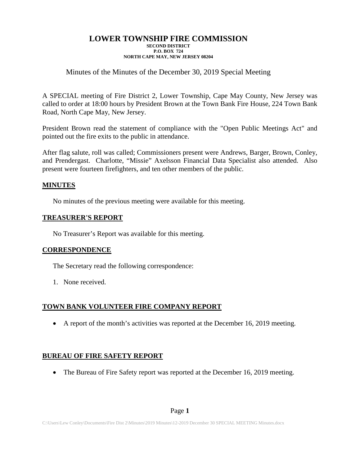#### **LOWER TOWNSHIP FIRE COMMISSION SECOND DISTRICT P.O. BOX 724 NORTH CAPE MAY, NEW JERSEY 08204**

## Minutes of the Minutes of the December 30, 2019 Special Meeting

A SPECIAL meeting of Fire District 2, Lower Township, Cape May County, New Jersey was called to order at 18:00 hours by President Brown at the Town Bank Fire House, 224 Town Bank Road, North Cape May, New Jersey.

President Brown read the statement of compliance with the "Open Public Meetings Act" and pointed out the fire exits to the public in attendance.

After flag salute, roll was called; Commissioners present were Andrews, Barger, Brown, Conley, and Prendergast. Charlotte, "Missie" Axelsson Financial Data Specialist also attended. Also present were fourteen firefighters, and ten other members of the public.

#### **MINUTES**

No minutes of the previous meeting were available for this meeting.

#### **TREASURER'S REPORT**

No Treasurer's Report was available for this meeting.

### **CORRESPONDENCE**

The Secretary read the following correspondence:

1. None received.

### **TOWN BANK VOLUNTEER FIRE COMPANY REPORT**

• A report of the month's activities was reported at the December 16, 2019 meeting.

### **BUREAU OF FIRE SAFETY REPORT**

• The Bureau of Fire Safety report was reported at the December 16, 2019 meeting.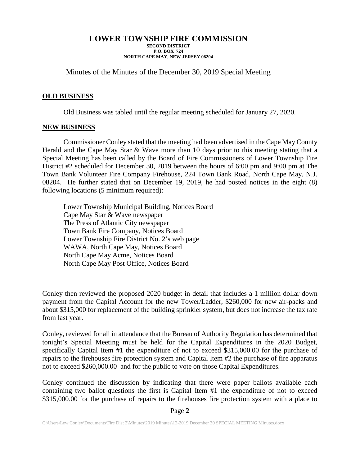### **LOWER TOWNSHIP FIRE COMMISSION**

**SECOND DISTRICT P.O. BOX 724 NORTH CAPE MAY, NEW JERSEY 08204**

Minutes of the Minutes of the December 30, 2019 Special Meeting

#### **OLD BUSINESS**

Old Business was tabled until the regular meeting scheduled for January 27, 2020.

#### **NEW BUSINESS**

Commissioner Conley stated that the meeting had been advertised in the Cape May County Herald and the Cape May Star & Wave more than 10 days prior to this meeting stating that a Special Meeting has been called by the Board of Fire Commissioners of Lower Township Fire District #2 scheduled for December 30, 2019 between the hours of 6:00 pm and 9:00 pm at The Town Bank Volunteer Fire Company Firehouse, 224 Town Bank Road, North Cape May, N.J. 08204. He further stated that on December 19, 2019, he had posted notices in the eight (8) following locations (5 minimum required):

Lower Township Municipal Building, Notices Board Cape May Star & Wave newspaper The Press of Atlantic City newspaper Town Bank Fire Company, Notices Board Lower Township Fire District No. 2's web page WAWA, North Cape May, Notices Board North Cape May Acme, Notices Board North Cape May Post Office, Notices Board

Conley then reviewed the proposed 2020 budget in detail that includes a 1 million dollar down payment from the Capital Account for the new Tower/Ladder, \$260,000 for new air-packs and about \$315,000 for replacement of the building sprinkler system, but does not increase the tax rate from last year.

Conley, reviewed for all in attendance that the Bureau of Authority Regulation has determined that tonight's Special Meeting must be held for the Capital Expenditures in the 2020 Budget, specifically Capital Item #1 the expenditure of not to exceed \$315,000.00 for the purchase of repairs to the firehouses fire protection system and Capital Item #2 the purchase of fire apparatus not to exceed \$260,000.00 and for the public to vote on those Capital Expenditures.

Conley continued the discussion by indicating that there were paper ballots available each containing two ballot questions the first is Capital Item #1 the expenditure of not to exceed \$315,000.00 for the purchase of repairs to the firehouses fire protection system with a place to